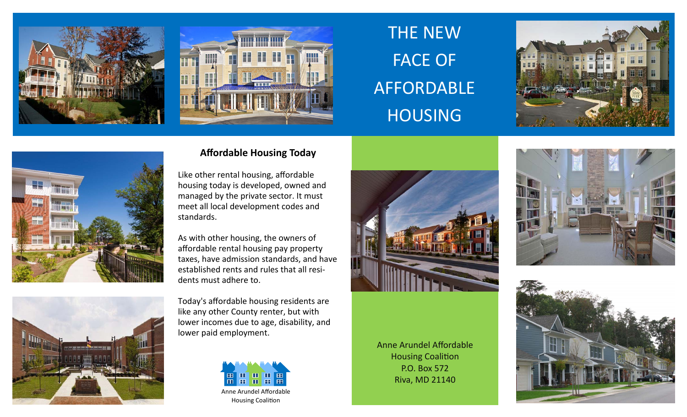



# THE NEW FACE OF AFFORDABLE HOUSING





### **Affordable Housing Today**

Like other rental housing, <sup>a</sup>ffordable housing today is developed, owned and managed by the private sector. It must meet all local development codes and standards.

As with other housing, the owners of affordable rental housing pay property taxes, have admission standards, and have established rents and rules that all resi‐ dents must adhere to.



Today's <sup>a</sup>ffordable housing residents are like any other County renter, but with lower incomes due to age, disability, and lower paid employment.





Anne Arundel Affordable **Housing Coalition** P.O. Box 572Riva, MD 21140